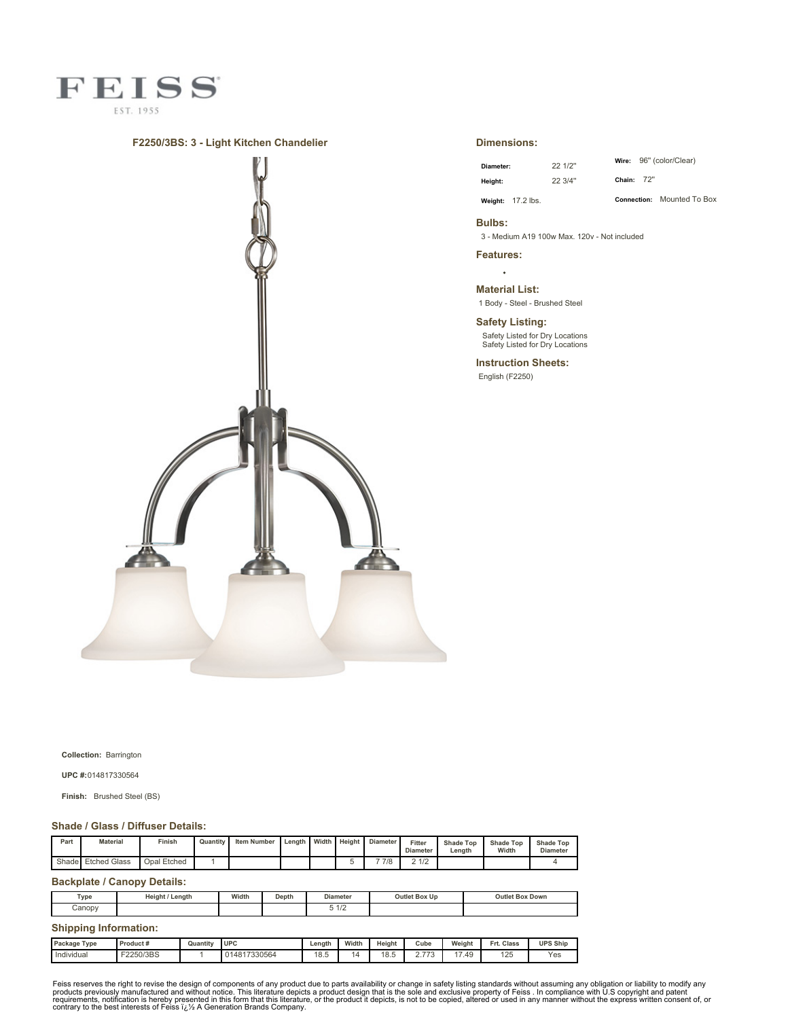

## **F2250/3BS: 3 - Light Kitchen Chandelier**



## **Dimensions:**

| Diameter: |                   | 22 1/2" |
|-----------|-------------------|---------|
| Height:   |                   | 22 3/4" |
|           | Weight: 17.2 lbs. |         |

**Wire:** 96'' (color/Clear) **Chain:** 72''

**Connection:** Mounted To Box

**Bulbs:** 3 - Medium A19 100w Max. 120v - Not included

**Features:**

**Material List:** 1 Body - Steel - Brushed Steel

**Safety Listing:** Safety Listed for Dry Locations Safety Listed for Dry Locations

**Instruction Sheets:** English (F2250)

**Collection:** Barrington

**UPC #:**014817330564

**Finish:** Brushed Steel (BS)

## **Shade / Glass / Diffuser Details:**

| Part | <b>Material</b>    | Finish      | Quantity | <b>Item Number</b> | Length | Width | Height | <b>Diameter</b> | Fitter<br><b>Diameter</b> | Shade Top<br>Lenath | <b>Shade Top</b><br>Width | <b>Shade Top</b><br><b>Diameter</b> |
|------|--------------------|-------------|----------|--------------------|--------|-------|--------|-----------------|---------------------------|---------------------|---------------------------|-------------------------------------|
|      | Shade Etched Glass | Opal Etched |          |                    |        |       |        | 7/8             | 0.410<br>-174<br><u>.</u> |                     |                           |                                     |

## **Backplate / Canopy Details:**

| Type                         | Height / Length      |                          | Width | Depth |        | <b>Diameter</b> | Outlet Box Up |                |        | <b>Outlet Box Down</b> |                  |
|------------------------------|----------------------|--------------------------|-------|-------|--------|-----------------|---------------|----------------|--------|------------------------|------------------|
| Canopy                       |                      |                          |       |       | 51/2   |                 |               |                |        |                        |                  |
| <b>Shipping Information:</b> |                      |                          |       |       |        |                 |               |                |        |                        |                  |
| Dookege Tupe                 | $D$ and $\cdots$ $4$ | $Otrans$ $\qquad$ $\Box$ |       |       | Longth | Midth           | Hojoht.       | C <sub>1</sub> | Mojeh+ | Est. Close             | <b>IIDO Ohio</b> |

| Package Type    | Product # | $-1$<br>Quantitv | I UPC        | Length                | Width | Height     | Cube | Weight | Frt. Class | <b>UPS Ship</b> |
|-----------------|-----------|------------------|--------------|-----------------------|-------|------------|------|--------|------------|-----------------|
| .<br>Individual | F2250/3BS |                  | 014817330564 | 1 <sup>Q</sup><br>്.∪ |       | 18F<br>o.J | 770  | 17.49  | 125        | Yes             |
|                 |           |                  |              |                       |       |            |      |        |            |                 |

Feiss reserves the right to revise the design of components of any product due to parts availability or change in safety listing standards without assuming any obligation or liability to modify any product due to parts av